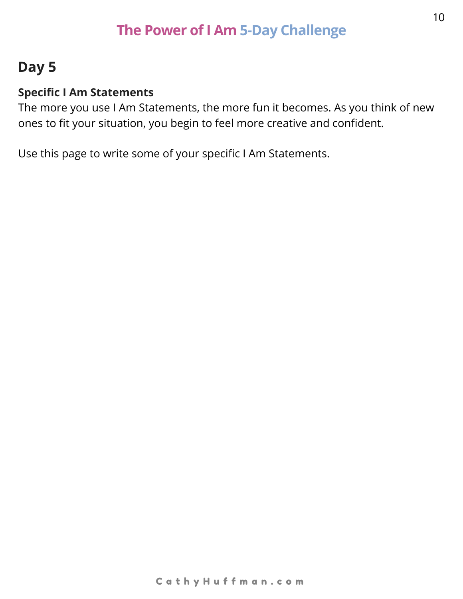## **Day 5**

#### **Specific I Am Statements**

The more you use I Am Statements, the more fun it becomes. As you think of new ones to fit your situation, you begin to feel more creative and confident.

Use this page to write some of your specific I Am Statements.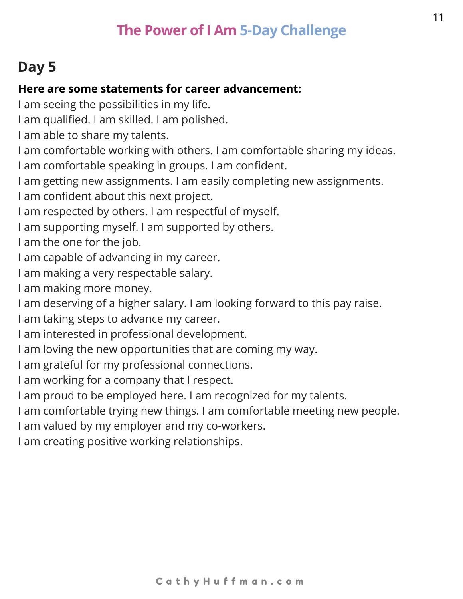# **Day 5**

#### **Here are some statements for career advancement:**

I am seeing the possibilities in my life.

I am qualified. I am skilled. I am polished.

I am able to share my talents.

I am comfortable working with others. I am comfortable sharing my ideas.

I am comfortable speaking in groups. I am confident.

I am getting new assignments. I am easily completing new assignments.

I am confident about this next project.

I am respected by others. I am respectful of myself.

I am supporting myself. I am supported by others.

I am the one for the job.

I am capable of advancing in my career.

I am making a very respectable salary.

I am making more money.

I am deserving of a higher salary. I am looking forward to this pay raise.

I am taking steps to advance my career.

I am interested in professional development.

I am loving the new opportunities that are coming my way.

I am grateful for my professional connections.

I am working for a company that I respect.

I am proud to be employed here. I am recognized for my talents.

I am comfortable trying new things. I am comfortable meeting new people.

I am valued by my employer and my co-workers.

I am creating positive working relationships.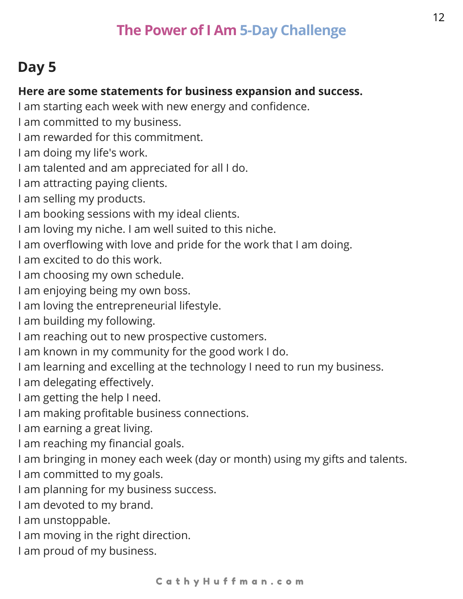# **Day 5**

#### **Here are some statements for business expansion and success.**

- I am starting each week with new energy and confidence.
- I am committed to my business.
- I am rewarded for this commitment.
- I am doing my life's work.
- I am talented and am appreciated for all I do.
- I am attracting paying clients.
- I am selling my products.
- I am booking sessions with my ideal clients.
- I am loving my niche. I am well suited to this niche.
- I am overflowing with love and pride for the work that I am doing.
- I am excited to do this work.
- I am choosing my own schedule.
- I am enjoying being my own boss.
- I am loving the entrepreneurial lifestyle.
- I am building my following.
- I am reaching out to new prospective customers.
- I am known in my community for the good work I do.
- I am learning and excelling at the technology I need to run my business.
- I am delegating effectively.
- I am getting the help I need.
- I am making profitable business connections.
- I am earning a great living.
- I am reaching my financial goals.
- I am bringing in money each week (day or month) using my gifts and talents.
- I am committed to my goals.
- I am planning for my business success.
- I am devoted to my brand.
- I am unstoppable.
- I am moving in the right direction.
- I am proud of my business.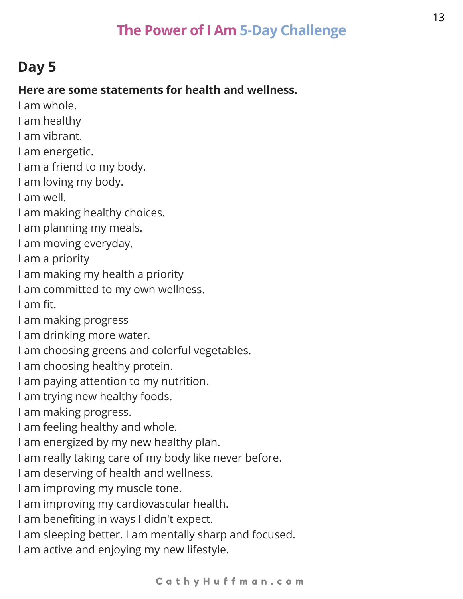# **Day 5**

### **Here are some statements for health and wellness.**

- I am whole.
- I am healthy
- I am vibrant.
- I am energetic.
- I am a friend to my body.
- I am loving my body.
- I am well.
- I am making healthy choices.
- I am planning my meals.
- I am moving everyday.
- I am a priority
- I am making my health a priority
- I am committed to my own wellness.
- I am fit.
- I am making progress
- I am drinking more water.
- I am choosing greens and colorful vegetables.
- I am choosing healthy protein.
- I am paying attention to my nutrition.
- I am trying new healthy foods.
- I am making progress.
- I am feeling healthy and whole.
- I am energized by my new healthy plan.
- I am really taking care of my body like never before.
- I am deserving of health and wellness.
- I am improving my muscle tone.
- I am improving my cardiovascular health.
- I am benefiting in ways I didn't expect.
- I am sleeping better. I am mentally sharp and focused.
- I am active and enjoying my new lifestyle.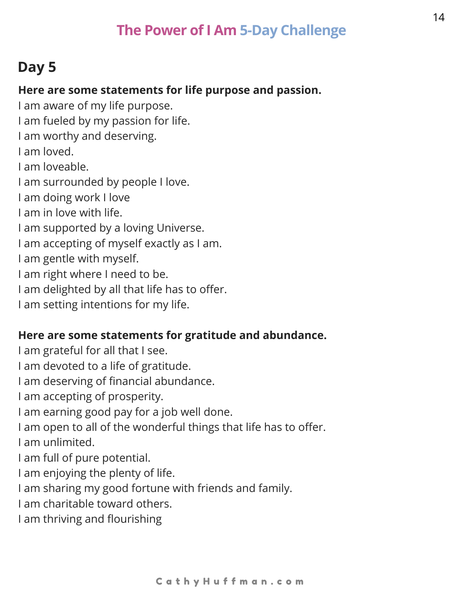## **Day 5**

#### **Here are some statements for life purpose and passion.**

I am aware of my life purpose.

I am fueled by my passion for life.

I am worthy and deserving.

I am loved.

I am loveable.

I am surrounded by people I love.

I am doing work I love

- I am in love with life.
- I am supported by a loving Universe.

I am accepting of myself exactly as I am.

I am gentle with myself.

I am right where I need to be.

I am delighted by all that life has to offer.

I am setting intentions for my life.

#### **Here are some statements for gratitude and abundance.**

I am grateful for all that I see.

- I am devoted to a life of gratitude.
- I am deserving of financial abundance.

I am accepting of prosperity.

I am earning good pay for a job well done.

I am open to all of the wonderful things that life has to offer.

I am unlimited.

- I am full of pure potential.
- I am enjoying the plenty of life.
- I am sharing my good fortune with friends and family.
- I am charitable toward others.
- I am thriving and flourishing